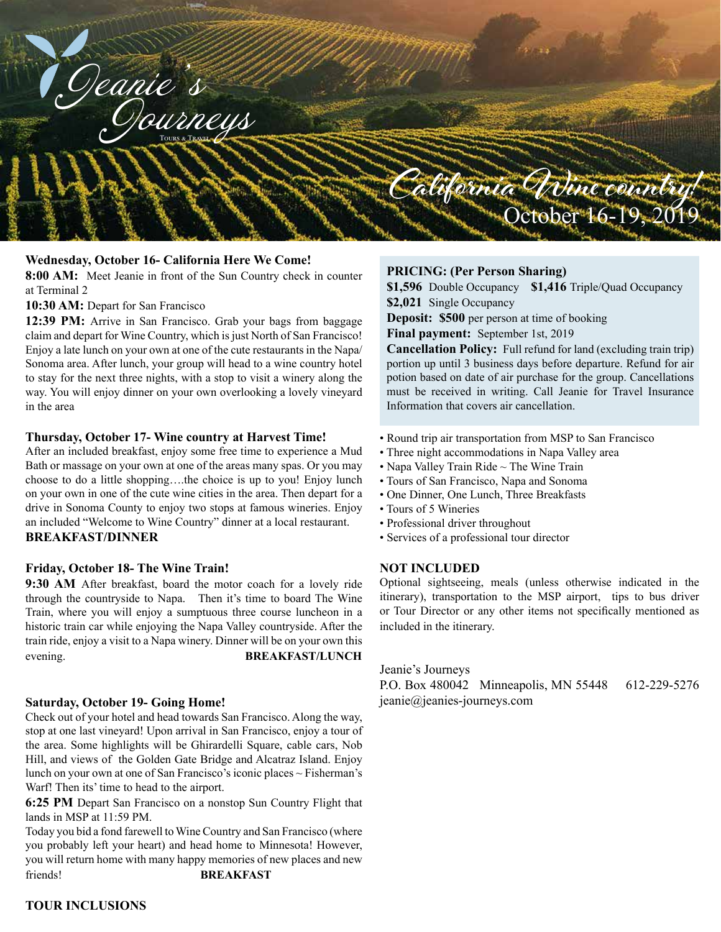

## **Wednesday, October 16- California Here We Come!**

**8:00 AM:** Meet Jeanie in front of the Sun Country check in counter at Terminal 2

### **10:30 AM:** Depart for San Francisco

**12:39 PM:** Arrive in San Francisco. Grab your bags from baggage claim and depart for Wine Country, which is just North of San Francisco! Enjoy a late lunch on your own at one of the cute restaurants in the Napa/ Sonoma area. After lunch, your group will head to a wine country hotel to stay for the next three nights, with a stop to visit a winery along the way. You will enjoy dinner on your own overlooking a lovely vineyard in the area

#### **Thursday, October 17- Wine country at Harvest Time!**

After an included breakfast, enjoy some free time to experience a Mud Bath or massage on your own at one of the areas many spas. Or you may choose to do a little shopping….the choice is up to you! Enjoy lunch on your own in one of the cute wine cities in the area. Then depart for a drive in Sonoma County to enjoy two stops at famous wineries. Enjoy an included "Welcome to Wine Country" dinner at a local restaurant. **BREAKFAST/DINNER**

#### **Friday, October 18- The Wine Train!**

**9:30 AM** After breakfast, board the motor coach for a lovely ride through the countryside to Napa. Then it's time to board The Wine Train, where you will enjoy a sumptuous three course luncheon in a historic train car while enjoying the Napa Valley countryside. After the train ride, enjoy a visit to a Napa winery. Dinner will be on your own this evening. **BREAKFAST/LUNCH**

#### **Saturday, October 19- Going Home!**

Check out of your hotel and head towards San Francisco. Along the way, stop at one last vineyard! Upon arrival in San Francisco, enjoy a tour of the area. Some highlights will be Ghirardelli Square, cable cars, Nob Hill, and views of the Golden Gate Bridge and Alcatraz Island. Enjoy lunch on your own at one of San Francisco's iconic places ~ Fisherman's Warf! Then its' time to head to the airport.

**6:25 PM** Depart San Francisco on a nonstop Sun Country Flight that lands in MSP at 11:59 PM.

Today you bid a fond farewell to Wine Country and San Francisco (where you probably left your heart) and head home to Minnesota! However, you will return home with many happy memories of new places and new friends! **BREAKFAST**

## **PRICING: (Per Person Sharing)**

**\$1,596** Double Occupancy **\$1,416** Triple/Quad Occupancy **\$2,021** Single Occupancy

**Deposit: \$500** per person at time of booking

**Final payment:** September 1st, 2019

**Cancellation Policy:** Full refund for land (excluding train trip) portion up until 3 business days before departure. Refund for air potion based on date of air purchase for the group. Cancellations must be received in writing. Call Jeanie for Travel Insurance Information that covers air cancellation.

- Round trip air transportation from MSP to San Francisco
- Three night accommodations in Napa Valley area
- Napa Valley Train Ride ~ The Wine Train
- Tours of San Francisco, Napa and Sonoma
- One Dinner, One Lunch, Three Breakfasts
- Tours of 5 Wineries
- Professional driver throughout
- Services of a professional tour director

#### **NOT INCLUDED**

Optional sightseeing, meals (unless otherwise indicated in the itinerary), transportation to the MSP airport, tips to bus driver or Tour Director or any other items not specifically mentioned as included in the itinerary.

Jeanie's Journeys

P.O. Box 480042 Minneapolis, MN 55448 612-229-5276 jeanie@jeanies-journeys.com